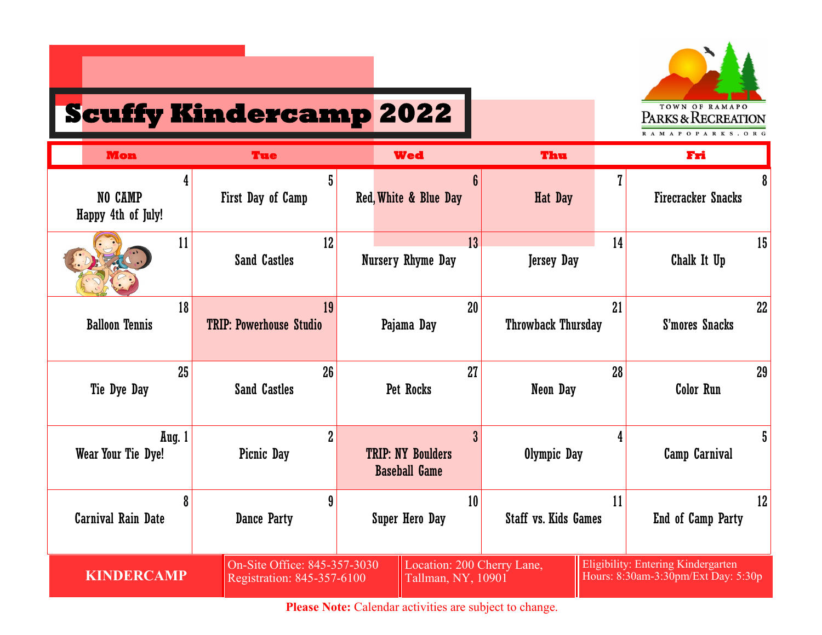

## **Scuffy Kindercamp 2022**

| <b>Mon</b>                         | <b>Tue</b>                                                 | <b>Wed</b>                                       |                    | Thu                         |    | Fri                                                                       |    |
|------------------------------------|------------------------------------------------------------|--------------------------------------------------|--------------------|-----------------------------|----|---------------------------------------------------------------------------|----|
| 4<br>NO CAMP<br>Happy 4th of July! | 5<br>First Day of Camp                                     | Red, White & Blue Day                            |                    | Hat Day                     |    | <b>Firecracker Snacks</b>                                                 | 8  |
| 11                                 | 12<br><b>Sand Castles</b>                                  | Nursery Rhyme Day                                | 13                 | <b>Jersey Day</b>           | 14 | Chalk It Up                                                               | 15 |
| 18<br><b>Balloon Tennis</b>        | 19<br><b>TRIP: Powerhouse Studio</b>                       | Pajama Day                                       | 20                 | <b>Throwback Thursday</b>   | 21 | S'mores Snacks                                                            | 22 |
| 25<br>Tie Dye Day                  | 26<br><b>Sand Castles</b>                                  | Pet Rocks                                        | 27                 | Neon Day                    | 28 | <b>Color Run</b>                                                          | 29 |
| Aug. 1<br>Wear Your Tie Dye!       | $\overline{2}$<br>Picnic Day                               | <b>TRIP: NY Boulders</b><br><b>Baseball Game</b> | 3 <sup>°</sup>     | Olympic Day                 |    | Camp Carnival                                                             | 5  |
| 8<br><b>Carnival Rain Date</b>     | 9<br>Dance Party                                           | <b>Super Hero Day</b>                            | 10                 | <b>Staff vs. Kids Games</b> | 11 | End of Camp Party                                                         | 12 |
| <b>KINDERCAMP</b>                  | On-Site Office: 845-357-3030<br>Registration: 845-357-6100 |                                                  | Tallman, NY, 10901 | Location: 200 Cherry Lane,  |    | Eligibility: Entering Kindergarten<br>Hours: 8:30am-3:30pm/Ext Day: 5:30p |    |

Please Note: Calendar activities are subject to change.